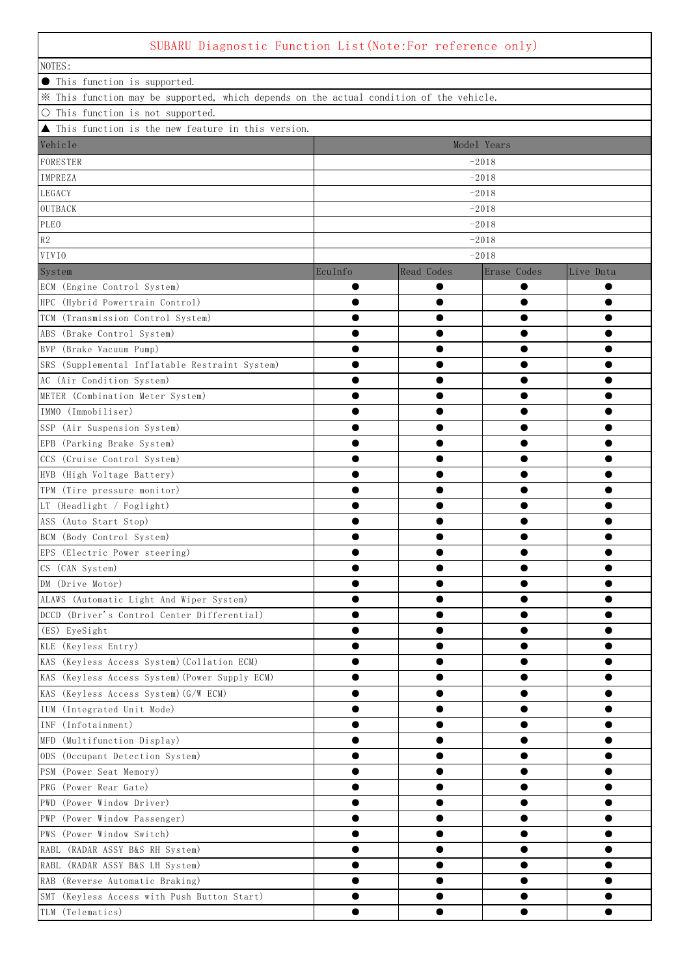## SUBARU Diagnostic Function List(Note:For reference only)

| SUDANU DIARNOSTIC FUNCTION LIST(NOTE.FOI IEIEFENCE ONIY)                                |           |            |             |           |  |  |  |
|-----------------------------------------------------------------------------------------|-----------|------------|-------------|-----------|--|--|--|
| NOTES:                                                                                  |           |            |             |           |  |  |  |
| • This function is supported.                                                           |           |            |             |           |  |  |  |
| * This function may be supported, which depends on the actual condition of the vehicle. |           |            |             |           |  |  |  |
| O This function is not supported.                                                       |           |            |             |           |  |  |  |
| ▲ This function is the new feature in this version.                                     |           |            |             |           |  |  |  |
| Vehicle<br>Model Years                                                                  |           |            |             |           |  |  |  |
| FORESTER<br>$-2018$                                                                     |           |            |             |           |  |  |  |
| IMPREZA                                                                                 | $-2018$   |            |             |           |  |  |  |
| LEGACY                                                                                  |           |            | $-2018$     |           |  |  |  |
| OUTBACK                                                                                 | $-2018$   |            |             |           |  |  |  |
| PLEO                                                                                    | $-2018$   |            |             |           |  |  |  |
| $\mathbb{R}2$                                                                           |           |            | $-2018$     |           |  |  |  |
| <b>VIVIO</b>                                                                            |           |            | $-2018$     |           |  |  |  |
| System                                                                                  | EcuInfo   | Read Codes | Erase Codes | Live Data |  |  |  |
| ECM (Engine Control System)                                                             | $\bullet$ | ●          | $\bullet$   | $\bullet$ |  |  |  |
| HPC (Hybrid Powertrain Control)                                                         | ●         | ●          | $\bullet$   | $\bullet$ |  |  |  |
| TCM (Transmission Control System)                                                       |           |            | $\bullet$   |           |  |  |  |
| ABS (Brake Control System)                                                              |           |            |             |           |  |  |  |
| BVP (Brake Vacuum Pump)                                                                 | ●         |            | $\bullet$   | $\bullet$ |  |  |  |
| SRS (Supplemental Inflatable Restraint System)                                          |           |            | $\bullet$   |           |  |  |  |
| AC (Air Condition System)                                                               |           |            | $\bullet$   |           |  |  |  |
| METER (Combination Meter System)                                                        | ●         | ●          | $\bullet$   | $\bullet$ |  |  |  |
| IMMO (Immobiliser)                                                                      | ●         | ●          | $\bullet$   | $\bullet$ |  |  |  |
| SSP (Air Suspension System)                                                             |           |            | $\bullet$   |           |  |  |  |
| EPB (Parking Brake System)                                                              |           |            | $\bullet$   |           |  |  |  |
| CCS (Cruise Control System)                                                             |           |            |             |           |  |  |  |
| HVB (High Voltage Battery)                                                              | ●         |            |             | $\bullet$ |  |  |  |
| TPM (Tire pressure monitor)                                                             |           |            |             |           |  |  |  |
| LT (Headlight / Foglight)                                                               |           |            | $\bullet$   |           |  |  |  |
| ASS (Auto Start Stop)                                                                   | ●         |            | $\bullet$   |           |  |  |  |
| BCM (Body Control System)                                                               | ●         | ●          | $\bullet$   | $\bullet$ |  |  |  |
| EPS (Electric Power steering)                                                           |           |            | ●           | $\bullet$ |  |  |  |
| CS (CAN System)                                                                         |           |            |             |           |  |  |  |
| DM (Drive Motor)                                                                        |           |            |             |           |  |  |  |
| ALAWS (Automatic Light And Wiper System)                                                | ●         | ●          | $\bullet$   |           |  |  |  |
| DCCD (Driver's Control Center Differential)                                             |           |            |             |           |  |  |  |
| (ES) EyeSight                                                                           |           |            |             |           |  |  |  |
| KLE (Keyless Entry)                                                                     |           |            |             |           |  |  |  |
| KAS (Keyless Access System) (Collation ECM)                                             |           |            |             |           |  |  |  |
| KAS (Keyless Access System) (Power Supply ECM)                                          |           |            |             |           |  |  |  |
| KAS (Keyless Access System) (G/W ECM)                                                   |           |            |             |           |  |  |  |
| IUM (Integrated Unit Mode)                                                              |           |            |             |           |  |  |  |
| INF (Infotainment)                                                                      |           |            |             |           |  |  |  |
| MFD (Multifunction Display)                                                             |           |            |             |           |  |  |  |
| ODS (Occupant Detection System)                                                         |           |            |             |           |  |  |  |
| PSM (Power Seat Memory)                                                                 |           |            |             |           |  |  |  |
| PRG (Power Rear Gate)                                                                   |           |            |             |           |  |  |  |
| PWD (Power Window Driver)                                                               |           |            |             |           |  |  |  |
|                                                                                         |           |            |             |           |  |  |  |
| PWP (Power Window Passenger)                                                            |           |            | $\bullet$   |           |  |  |  |
| PWS (Power Window Switch)                                                               | ●         |            |             | $\bullet$ |  |  |  |
| RABL (RADAR ASSY B&S RH System)                                                         | ●         |            | $\bullet$   | $\bullet$ |  |  |  |
| RABL (RADAR ASSY B&S LH System)                                                         |           |            |             |           |  |  |  |
| RAB (Reverse Automatic Braking)                                                         |           |            |             |           |  |  |  |
| SMT (Keyless Access with Push Button Start)                                             |           |            |             |           |  |  |  |
| TLM (Telematics)                                                                        |           |            |             |           |  |  |  |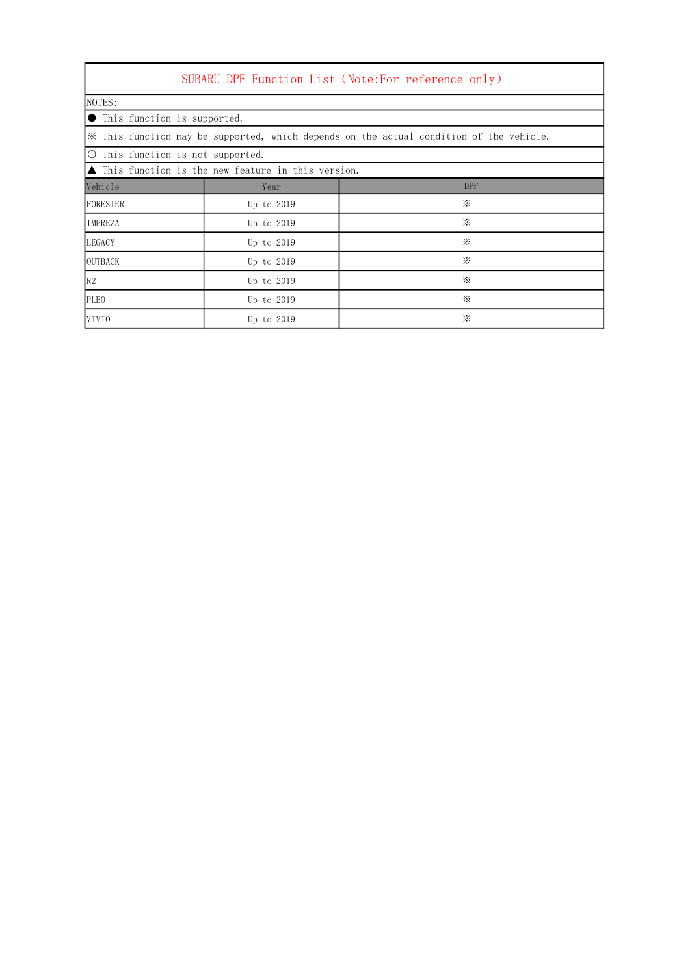| SUBARU DPF Function List (Note:For reference only)                                      |              |            |  |  |  |  |  |
|-----------------------------------------------------------------------------------------|--------------|------------|--|--|--|--|--|
| NOTES:                                                                                  |              |            |  |  |  |  |  |
| <b>O</b> This function is supported.                                                    |              |            |  |  |  |  |  |
| X This function may be supported, which depends on the actual condition of the vehicle. |              |            |  |  |  |  |  |
| ○ This function is not supported.                                                       |              |            |  |  |  |  |  |
| ▲ This function is the new feature in this version.                                     |              |            |  |  |  |  |  |
| Vehicle                                                                                 | Year         | <b>DPF</b> |  |  |  |  |  |
| FORESTER                                                                                | Up to 2019   | ⋇          |  |  |  |  |  |
| IMPREZA                                                                                 | Up to 2019   | ⋇          |  |  |  |  |  |
| <b>LEGACY</b>                                                                           | Up to 2019   | ⋇          |  |  |  |  |  |
| <b>OUTBACK</b>                                                                          | Up to $2019$ | ⋇          |  |  |  |  |  |
| R2                                                                                      | Up to 2019   | ⋇          |  |  |  |  |  |
| <b>PLEO</b>                                                                             | Up to 2019   | ⋇          |  |  |  |  |  |
| VIVIO                                                                                   | Up to 2019   | ⋇          |  |  |  |  |  |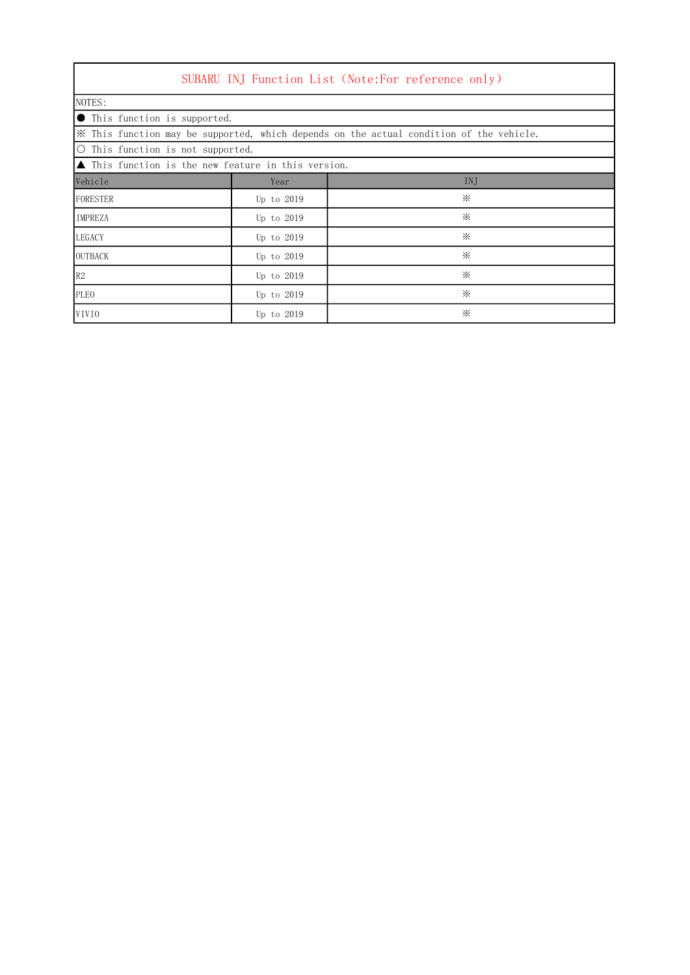| SUBARU INJ Function List (Note:For reference only)                                      |              |          |  |  |  |  |  |
|-----------------------------------------------------------------------------------------|--------------|----------|--|--|--|--|--|
| NOTES:                                                                                  |              |          |  |  |  |  |  |
| $\bullet$ This function is supported.                                                   |              |          |  |  |  |  |  |
| X This function may be supported, which depends on the actual condition of the vehicle. |              |          |  |  |  |  |  |
| O This function is not supported.                                                       |              |          |  |  |  |  |  |
| $\blacktriangle$ This function is the new feature in this version.                      |              |          |  |  |  |  |  |
| Vehicle                                                                                 | Year         | INJ      |  |  |  |  |  |
| FORESTER                                                                                | Up to 2019   | ⋇        |  |  |  |  |  |
| <b>IMPREZA</b>                                                                          | Up to $2019$ | ⋇        |  |  |  |  |  |
| <b>LEGACY</b>                                                                           | Up to 2019   | $\times$ |  |  |  |  |  |
| <b>OUTBACK</b>                                                                          | Up to 2019   | ⋇        |  |  |  |  |  |
| R2                                                                                      | Up to 2019   | ⋇        |  |  |  |  |  |
| <b>PLEO</b>                                                                             | Up to 2019   | ⋇        |  |  |  |  |  |
| VIVIO                                                                                   | Up to 2019   | ⋇        |  |  |  |  |  |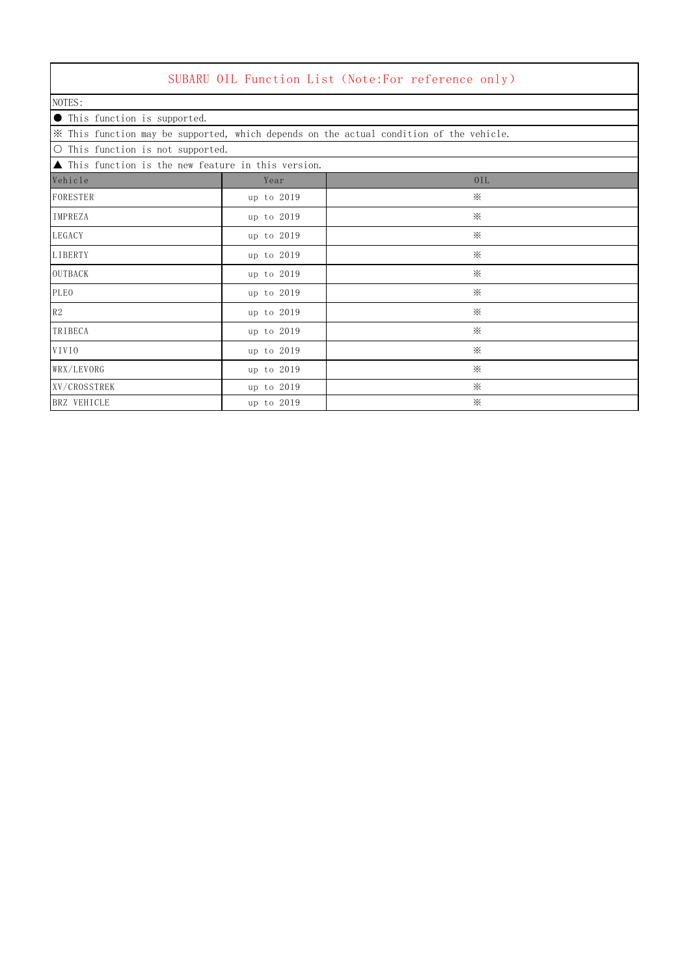|                                                                    |            | SUBARU OIL Function List (Note:For reference only)                                      |
|--------------------------------------------------------------------|------------|-----------------------------------------------------------------------------------------|
| NOTES:                                                             |            |                                                                                         |
| • This function is supported.                                      |            |                                                                                         |
|                                                                    |            | * This function may be supported, which depends on the actual condition of the vehicle. |
| O This function is not supported.                                  |            |                                                                                         |
| $\blacktriangle$ This function is the new feature in this version. |            |                                                                                         |
| Vehicle                                                            | Year       | 0IL                                                                                     |
| FORESTER                                                           | up to 2019 | $\times$                                                                                |
| IMPREZA                                                            | up to 2019 | $\times$                                                                                |
| LEGACY                                                             | up to 2019 | $\times$                                                                                |
| LIBERTY                                                            | up to 2019 | $\times$                                                                                |
| OUTBACK                                                            | up to 2019 | $\mathbb{X}$                                                                            |
| <b>PLEO</b>                                                        | up to 2019 | $\times$                                                                                |
| R2                                                                 | up to 2019 | $\times$                                                                                |
| TRIBECA                                                            | up to 2019 | $\times$                                                                                |
| VIVIO                                                              | up to 2019 | $\times$                                                                                |
| WRX/LEVORG                                                         | up to 2019 | $\times$                                                                                |
| XV/CROSSTREK                                                       | up to 2019 | $\times$                                                                                |
| BRZ VEHICLE                                                        | up to 2019 | $\times$                                                                                |